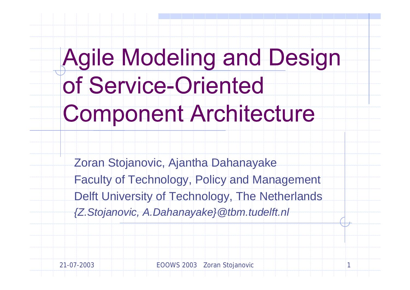**Agile Modeling and Design** of Service-Oriented **Component Architecture** 

Zoran Stojanovic, Ajantha Dahanayake Faculty of Technology, Policy and Management Delft University of Technology, The Netherlands *{Z.Stojanovic, A.Dahanayake}@tbm.tudelft.nl*

21-07-2003 EOOWS 2003 Zoran Stojanovic 1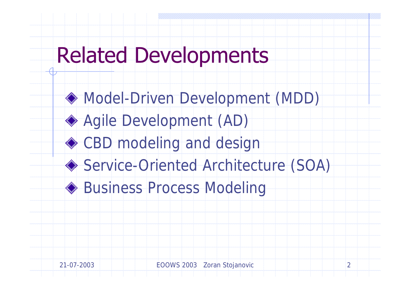#### **Related Developments**

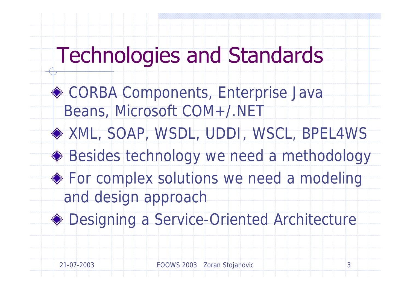## **Technologies and Standards**

CORBA Components, Enterprise Java Beans, Microsoft COM+/.NET XML, SOAP, WSDL, UDDI, WSCL, BPEL4WS ◆ Besides technology we need a methodology For complex solutions we need a modeling and design approach ◆ Designing a Service-Oriented Architecture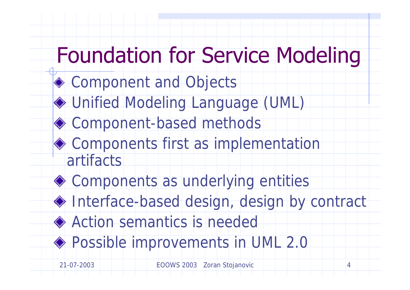## **Foundation for Service Modeling**

- ◆ Component and Objects
- Unified Modeling Language (UML)
- ◆ Component-based methods
- ◆ Components first as implementation artifacts
- ◆ Components as underlying entities
- ◆ Interface-based design, design by contract
- ◆ Action semantics is needed
- ◆ Possible improvements in UML 2.0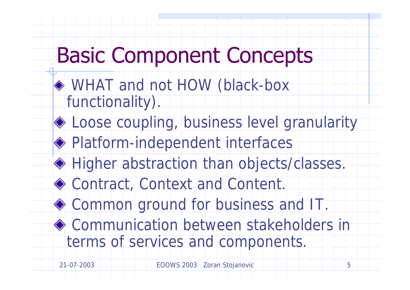# **Basic Component Concepts**

- ◆ WHAT and not HOW (black-box functionality).
- **EXECUTER**, business level granularity
- ◆ Platform-independent interfaces
- Higher abstraction than objects/classes.
- ◆ Contract, Context and Content.
- ◆ Common ground for business and IT.
- **◆ Communication between stakeholders in** terms of services and components.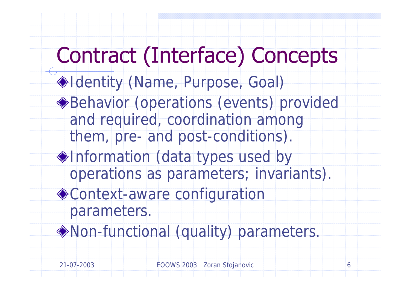## **Contract (Interface) Concepts**

- Identity (Name, Purpose, Goal)
- Behavior (operations (events) provided and required, coordination among them, pre- and post-conditions).
- $\triangle$ Information (data types used by operations as parameters; invariants).
- Context-aware configuration parameters.
- Non-functional (quality) parameters.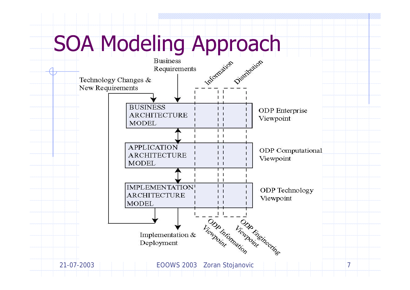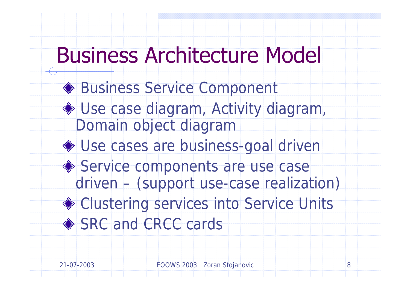#### **Business Architecture Model**

- Business Service Component
- ◆ Use case diagram, Activity diagram, Domain object diagram
- ◆ Use cases are business-goal driven
- Service components are use case driven – (support use-case realization)
- ◆ Clustering services into Service Units
- ♦ SRC and CRCC cards

21-07-2003 EOOWS 2003 Zoran Stojanovic 8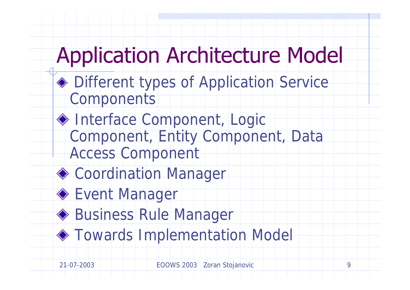## **Application Architecture Model**

- ◆ Different types of Application Service **Components**
- ◆ Interface Component, Logic Component, Entity Component, Data Access Component
- ◆ Coordination Manager
- **◆ Event Manager**
- ◆ Business Rule Manager
- Towards Implementation Model